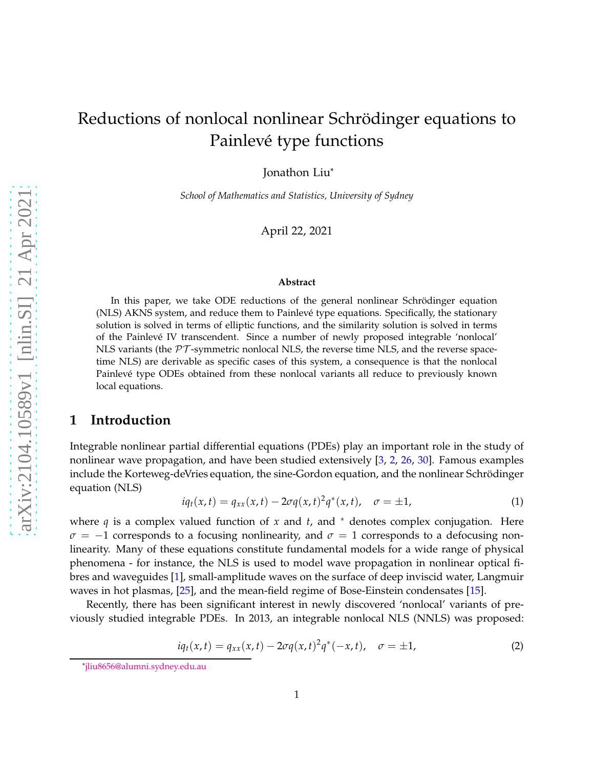Jonathon Liu\*

*School of Mathematics and Statistics, University of Sydney*

April 22, 2021

#### **Abstract**

In this paper, we take ODE reductions of the general nonlinear Schrödinger equation (NLS) AKNS system, and reduce them to Painlevé type equations. Specifically, the stationary solution is solved in terms of elliptic functions, and the similarity solution is solved in terms of the Painlevé IV transcendent. Since a number of newly proposed integrable 'nonlocal' NLS variants (the  $\mathcal{PT}$ -symmetric nonlocal NLS, the reverse time NLS, and the reverse spacetime NLS) are derivable as specific cases of this system, a consequence is that the nonlocal Painlevé type ODEs obtained from these nonlocal variants all reduce to previously known local equations.

### **1 Introduction**

Integrable nonlinear partial differential equations (PDEs) play an important role in the study of nonlinear wave propagation, and have been studied extensively [\[3,](#page-6-0) [2](#page-6-1), [26](#page-7-0), [30\]](#page-7-1). Famous examples include the Korteweg-deVries equation, the sine-Gordon equation, and the nonlinear Schrödinger equation (NLS)

$$
iq_t(x,t) = q_{xx}(x,t) - 2\sigma q(x,t)^2 q^*(x,t), \quad \sigma = \pm 1,
$$
 (1)

where  $q$  is a complex valued function of  $x$  and  $t$ , and  $*$  denotes complex conjugation. Here  $\sigma = -1$  corresponds to a focusing nonlinearity, and  $\sigma = 1$  corresponds to a defocusing nonlinearity. Many of these equations constitute fundamental models for a wide range of physical phenomena - for instance, the NLS is used to model wave propagation in nonlinear optical fibres and waveguides [\[1](#page-6-2)], small-amplitude waves on the surface of deep inviscid water, Langmuir waves in hot plasmas, [\[25](#page-7-2)], and the mean-field regime of Bose-Einstein condensates [\[15](#page-6-3)].

Recently, there has been significant interest in newly discovered 'nonlocal' variants of previously studied integrable PDEs. In 2013, an integrable nonlocal NLS (NNLS) was proposed:

$$
iq_t(x,t) = q_{xx}(x,t) - 2\sigma q(x,t)^2 q^*(-x,t), \quad \sigma = \pm 1,
$$
 (2)

<sup>\*</sup>[jliu8656@alumni.sydney.edu.au](mailto:jliu8656@alumni.sydney.edu.au)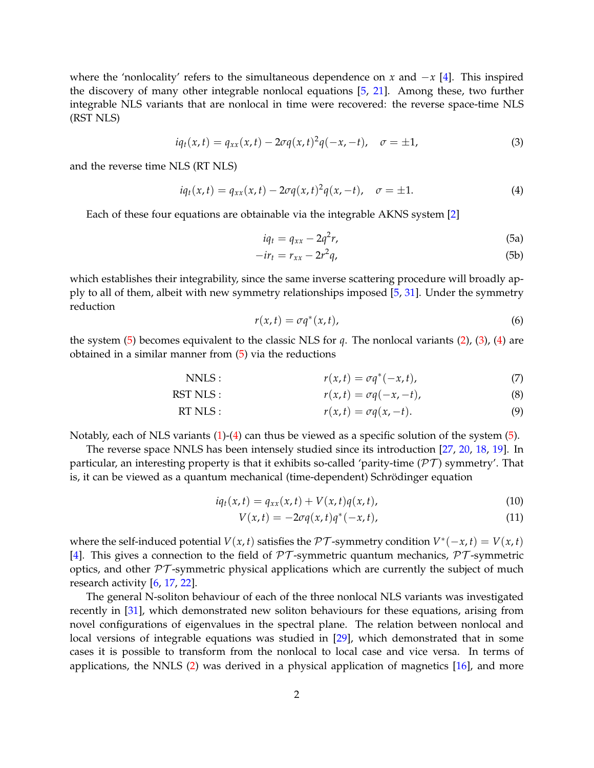where the 'nonlocality' refers to the simultaneous dependence on *x* and −*x* [\[4](#page-6-4)]. This inspired the discovery of many other integrable nonlocal equations [\[5](#page-6-5), [21\]](#page-7-3). Among these, two further integrable NLS variants that are nonlocal in time were recovered: the reverse space-time NLS (RST NLS)

$$
iq_t(x,t) = q_{xx}(x,t) - 2\sigma q(x,t)^2 q(-x,-t), \quad \sigma = \pm 1,
$$
 (3)

and the reverse time NLS (RT NLS)

$$
iq_t(x,t) = q_{xx}(x,t) - 2\sigma q(x,t)^2 q(x,-t), \quad \sigma = \pm 1.
$$
 (4)

Each of these four equations are obtainable via the integrable AKNS system [\[2](#page-6-1)]

<span id="page-1-4"></span><span id="page-1-3"></span><span id="page-1-2"></span><span id="page-1-1"></span><span id="page-1-0"></span>
$$
iq_t = q_{xx} - 2q^2r,\tag{5a}
$$

$$
-ir_t = r_{xx} - 2r^2q,
$$
\t(5b)

<span id="page-1-5"></span>which establishes their integrability, since the same inverse scattering procedure will broadly apply to all of them, albeit with new symmetry relationships imposed [\[5](#page-6-5), [31](#page-7-4)]. Under the symmetry reduction

<span id="page-1-6"></span>
$$
r(x,t) = \sigma q^*(x,t),\tag{6}
$$

the system [\(5\)](#page-1-0) becomes equivalent to the classic NLS for *q*. The nonlocal variants [\(2\)](#page-1-1), [\(3\)](#page-1-2), [\(4\)](#page-1-3) are obtained in a similar manner from [\(5\)](#page-1-0) via the reductions

NNLS :  $r(x,t) = \sigma q^*(-x,t)$ , (7)

RST NLS: 
$$
r(x,t) = \sigma q(-x,-t),
$$
 (8)

RT NLS: 
$$
r(x,t) = \sigma q(x,-t). \tag{9}
$$

Notably, each of NLS variants [\(1\)](#page-1-4)-[\(4\)](#page-1-3) can thus be viewed as a specific solution of the system [\(5\)](#page-1-0).

The reverse space NNLS has been intensely studied since its introduction [\[27](#page-7-5), [20](#page-7-6), [18](#page-7-7), [19\]](#page-7-8). In particular, an interesting property is that it exhibits so-called 'parity-time ( $\mathcal{PT}$ ) symmetry'. That is, it can be viewed as a quantum mechanical (time-dependent) Schrödinger equation

$$
iq_t(x,t) = q_{xx}(x,t) + V(x,t)q(x,t),
$$
\n(10)

$$
V(x,t) = -2\sigma q(x,t)q^*(-x,t),
$$
\n(11)

where the self-induced potential  $V(x, t)$  satisfies the  $\mathcal{PT}$ -symmetry condition  $V^*(-x, t) = V(x, t)$ [\[4](#page-6-4)]. This gives a connection to the field of  $\mathcal{PT}$ -symmetric quantum mechanics,  $\mathcal{PT}$ -symmetric optics, and other  $\mathcal{PT}$ -symmetric physical applications which are currently the subject of much research activity [\[6,](#page-6-6) [17](#page-7-9), [22](#page-7-10)].

The general N-soliton behaviour of each of the three nonlocal NLS variants was investigated recently in [\[31](#page-7-4)], which demonstrated new soliton behaviours for these equations, arising from novel configurations of eigenvalues in the spectral plane. The relation between nonlocal and local versions of integrable equations was studied in [\[29\]](#page-7-11), which demonstrated that in some cases it is possible to transform from the nonlocal to local case and vice versa. In terms of applications, the NNLS [\(2\)](#page-1-1) was derived in a physical application of magnetics [\[16](#page-6-7)], and more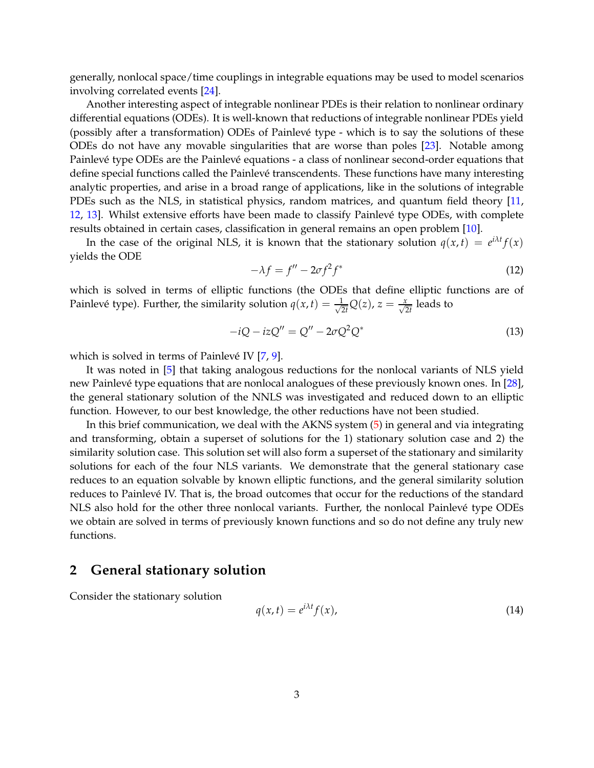generally, nonlocal space/time couplings in integrable equations may be used to model scenarios involving correlated events [\[24](#page-7-12)].

Another interesting aspect of integrable nonlinear PDEs is their relation to nonlinear ordinary differential equations (ODEs). It is well-known that reductions of integrable nonlinear PDEs yield (possibly after a transformation) ODEs of Painlevé type - which is to say the solutions of these ODEs do not have any movable singularities that are worse than poles [\[23\]](#page-7-13). Notable among Painlevé type ODEs are the Painlevé equations - a class of nonlinear second-order equations that define special functions called the Painlevé transcendents. These functions have many interesting analytic properties, and arise in a broad range of applications, like in the solutions of integrable PDEs such as the NLS, in statistical physics, random matrices, and quantum field theory [\[11](#page-6-8), [12,](#page-6-9) [13](#page-6-10)]. Whilst extensive efforts have been made to classify Painlevé type ODEs, with complete results obtained in certain cases, classification in general remains an open problem [\[10](#page-6-11)].

<span id="page-2-0"></span>In the case of the original NLS, it is known that the stationary solution  $q(x,t) = e^{i\lambda t} f(x)$ yields the ODE

$$
-\lambda f = f'' - 2\sigma f^2 f^*
$$
\n(12)

which is solved in terms of elliptic functions (the ODEs that define elliptic functions are of Painlevé type). Further, the similarity solution  $q(x, t) = \frac{1}{\sqrt{2\pi}}$  $\frac{1}{2t}Q(z)$ ,  $z = \frac{x}{\sqrt{2t}}$  leads to

$$
-iQ - izQ'' = Q'' - 2\sigma Q^2 Q^*
$$
\n(13)

which is solved in terms of Painlevé IV [\[7](#page-6-12), [9\]](#page-6-13).

It was noted in [\[5](#page-6-5)] that taking analogous reductions for the nonlocal variants of NLS yield new Painlevé type equations that are nonlocal analogues of these previously known ones. In [\[28\]](#page-7-14), the general stationary solution of the NNLS was investigated and reduced down to an elliptic function. However, to our best knowledge, the other reductions have not been studied.

In this brief communication, we deal with the AKNS system [\(5\)](#page-1-0) in general and via integrating and transforming, obtain a superset of solutions for the 1) stationary solution case and 2) the similarity solution case. This solution set will also form a superset of the stationary and similarity solutions for each of the four NLS variants. We demonstrate that the general stationary case reduces to an equation solvable by known elliptic functions, and the general similarity solution reduces to Painlevé IV. That is, the broad outcomes that occur for the reductions of the standard NLS also hold for the other three nonlocal variants. Further, the nonlocal Painlevé type ODEs we obtain are solved in terms of previously known functions and so do not define any truly new functions.

#### **2 General stationary solution**

Consider the stationary solution

$$
q(x,t) = e^{i\lambda t} f(x),
$$
\n(14)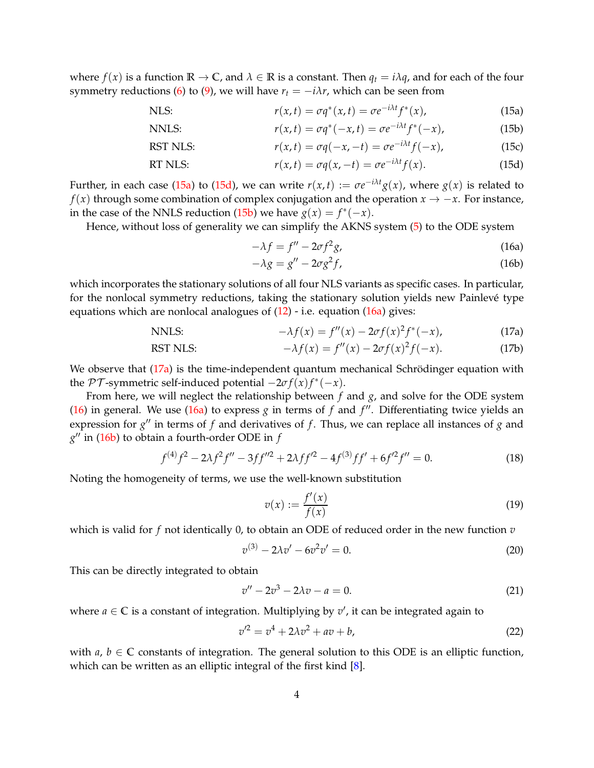where  $f(x)$  is a function  $\mathbb{R} \to \mathbb{C}$ , and  $\lambda \in \mathbb{R}$  is a constant. Then  $q_t = i\lambda q$ , and for each of the four symmetry reductions [\(6\)](#page-1-5) to [\(9\)](#page-1-6), we will have  $r_t = -i\lambda r$ , which can be seen from

NLS: 
$$
r(x,t) = \sigma q^*(x,t) = \sigma e^{-i\lambda t} f^*(x), \qquad (15a)
$$

NNLS: 
$$
r(x,t) = \sigma q^*(-x,t) = \sigma e^{-i\lambda t} f^*(-x), \qquad (15b)
$$

RST NLS: 
$$
r(x,t) = \sigma q(-x,-t) = \sigma e^{-i\lambda t} f(-x), \qquad (15c)
$$

RT NLS: 
$$
r(x,t) = \sigma q(x,-t) = \sigma e^{-i\lambda t} f(x).
$$
 (15d)

Further, in each case [\(15a\)](#page-3-0) to [\(15d\)](#page-3-1), we can write  $r(x,t) := \sigma e^{-i\lambda t} g(x)$ , where  $g(x)$  is related to *f*(*x*) through some combination of complex conjugation and the operation  $x \rightarrow -x$ . For instance, in the case of the NNLS reduction [\(15b\)](#page-3-2) we have  $g(x) = f^*(-x)$ .

Hence, without loss of generality we can simplify the AKNS system [\(5\)](#page-1-0) to the ODE system

<span id="page-3-3"></span><span id="page-3-1"></span>
$$
-\lambda f = f'' - 2\sigma f^2 g,\tag{16a}
$$

<span id="page-3-2"></span><span id="page-3-0"></span>
$$
-\lambda g = g'' - 2\sigma g^2 f,\tag{16b}
$$

which incorporates the stationary solutions of all four NLS variants as specific cases. In particular, for the nonlocal symmetry reductions, taking the stationary solution yields new Painlevé type equations which are nonlocal analogues of  $(12)$  - i.e. equation  $(16a)$  gives:

NNLS: 
$$
-\lambda f(x) = f''(x) - 2\sigma f(x)^2 f^*(-x),
$$
 (17a)

RST NLS: 
$$
-\lambda f(x) = f''(x) - 2\sigma f(x)^2 f(-x). \qquad (17b)
$$

We observe that [\(17a\)](#page-3-0) is the time-independent quantum mechanical Schrödinger equation with the  $\mathcal{PT}$ -symmetric self-induced potential  $-2\sigma f(x)f^*(-x)$ .

From here, we will neglect the relationship between *f* and *g*, and solve for the ODE system [\(16\)](#page-3-3) in general. We use [\(16a\)](#page-3-0) to express *g* in terms of *f* and *f* ′′. Differentiating twice yields an expression for *g* ′′ in terms of *f* and derivatives of *f* . Thus, we can replace all instances of *g* and *g* ′′ in [\(16b\)](#page-3-2) to obtain a fourth-order ODE in *f*

$$
f^{(4)}f^2 - 2\lambda f^2 f'' - 3ff''^2 + 2\lambda ff'^2 - 4f^{(3)}ff' + 6f'^2 f'' = 0.
$$
 (18)

Noting the homogeneity of terms, we use the well-known substitution

$$
v(x) := \frac{f'(x)}{f(x)}\tag{19}
$$

which is valid for *f* not identically 0, to obtain an ODE of reduced order in the new function *v*

$$
v^{(3)} - 2\lambda v' - 6v^2 v' = 0.
$$
\n(20)

This can be directly integrated to obtain

$$
v'' - 2v^3 - 2\lambda v - a = 0.
$$
 (21)

where  $a \in \mathbb{C}$  is a constant of integration. Multiplying by  $v'$ , it can be integrated again to

$$
v^2 = v^4 + 2\lambda v^2 + av + b,\tag{22}
$$

with  $a, b \in \mathbb{C}$  constants of integration. The general solution to this ODE is an elliptic function, which can be written as an elliptic integral of the first kind [\[8](#page-6-14)].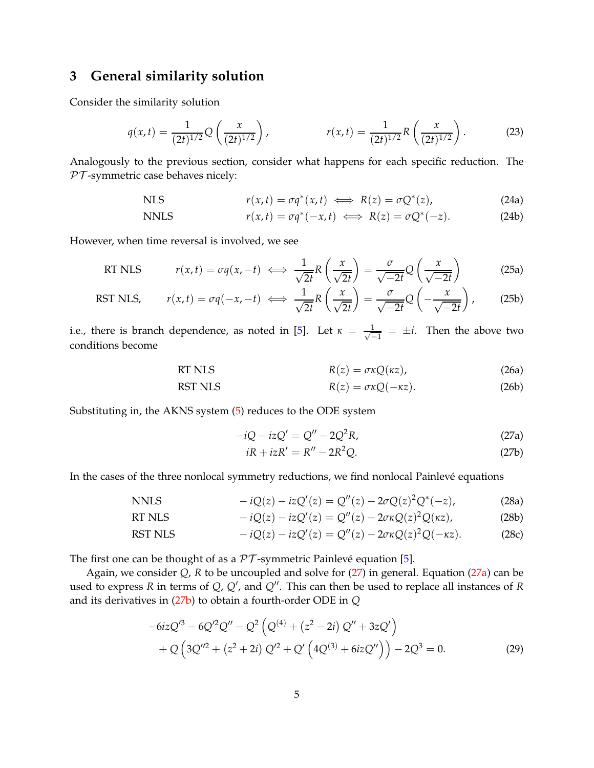# **3 General similarity solution**

Consider the similarity solution

$$
q(x,t) = \frac{1}{(2t)^{1/2}} Q\left(\frac{x}{(2t)^{1/2}}\right), \qquad \qquad r(x,t) = \frac{1}{(2t)^{1/2}} R\left(\frac{x}{(2t)^{1/2}}\right). \tag{23}
$$

Analogously to the previous section, consider what happens for each specific reduction. The  $PT$ -symmetric case behaves nicely:

NLS 
$$
r(x,t) = \sigma q^*(x,t) \iff R(z) = \sigma Q^*(z), \tag{24a}
$$

NNLS 
$$
r(x,t) = \sigma q^*(-x,t) \iff R(z) = \sigma Q^*(-z). \tag{24b}
$$

However, when time reversal is involved, we see

RT NLS 
$$
r(x,t) = \sigma q(x,-t) \iff \frac{1}{\sqrt{2t}} R\left(\frac{x}{\sqrt{2t}}\right) = \frac{\sigma}{\sqrt{-2t}} Q\left(\frac{x}{\sqrt{-2t}}\right)
$$
(25a)

RST NLS, 
$$
r(x,t) = \sigma q(-x, -t) \iff \frac{1}{\sqrt{2t}} R\left(\frac{x}{\sqrt{2t}}\right) = \frac{\sigma}{\sqrt{-2t}} Q\left(-\frac{x}{\sqrt{-2t}}\right),
$$
 (25b)

i.e., there is branch dependence, as noted in [\[5](#page-6-5)]. Let  $\kappa = \frac{1}{\sqrt{2}}$  $\frac{1}{-1} = \pm i$ . Then the above two conditions become

RT NLS 
$$
R(z) = \sigma \kappa Q(\kappa z), \qquad (26a)
$$

RST NLS 
$$
R(z) = \sigma \kappa Q(-\kappa z). \tag{26b}
$$

Substituting in, the AKNS system [\(5\)](#page-1-0) reduces to the ODE system

$$
-iQ - izQ' = Q'' - 2Q^2R,
$$
\n(27a)

<span id="page-4-2"></span><span id="page-4-1"></span><span id="page-4-0"></span>
$$
iR + izR' = R'' - 2R^2Q.
$$
 (27b)

In the cases of the three nonlocal symmetry reductions, we find nonlocal Painlevé equations

$$
\text{NNLS} \qquad -iQ(z) - izQ'(z) = Q''(z) - 2\sigma Q(z)^2 Q^*(-z), \tag{28a}
$$

RT NLS 
$$
-iQ(z) - izQ'(z) = Q''(z) - 2\sigma\kappa Q(z)^{2}Q(\kappa z), \qquad (28b)
$$

RST NLS 
$$
-iQ(z) - izQ'(z) = Q''(z) - 2\sigma \kappa Q(z)^2 Q(-\kappa z).
$$
 (28c)

The first one can be thought of as a  $PT$ -symmetric Painlevé equation [\[5\]](#page-6-5).

Again, we consider *Q*, *R* to be uncoupled and solve for [\(27\)](#page-4-0) in general. Equation [\(27a\)](#page-4-1) can be used to express *R* in terms of *Q*, *Q*′ , and *Q*′′. This can then be used to replace all instances of *R* and its derivatives in [\(27b\)](#page-4-2) to obtain a fourth-order ODE in *Q*

$$
-6izQ'^3 - 6Q'^2Q'' - Q^2(Q^{(4)} + (z^2 - 2i)Q'' + 3zQ')
$$
  
+ 
$$
Q(3Q''^2 + (z^2 + 2i)Q'^2 + Q'(4Q^{(3)} + 6izQ'')) - 2Q^3 = 0.
$$
 (29)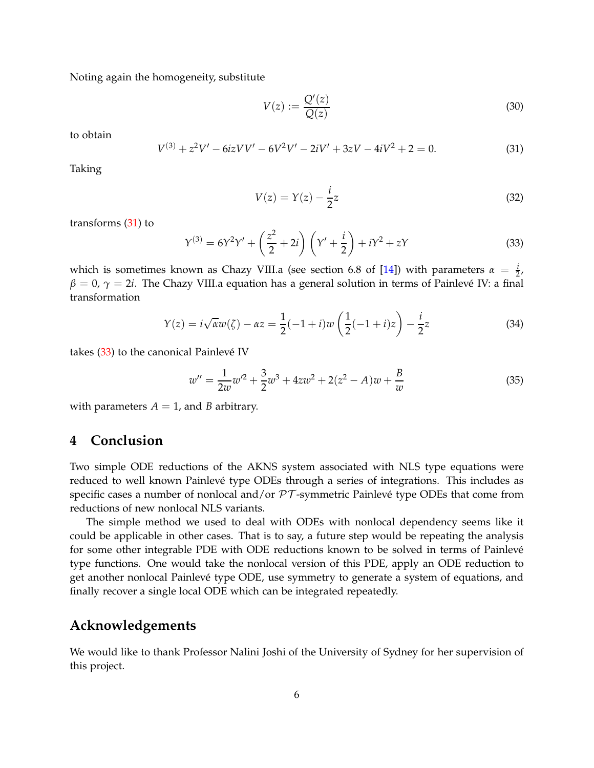Noting again the homogeneity, substitute

$$
V(z) := \frac{Q'(z)}{Q(z)}\tag{30}
$$

to obtain

<span id="page-5-0"></span>
$$
V^{(3)} + z^2 V' - 6izVV' - 6V^2 V' - 2iV' + 3zV - 4iV^2 + 2 = 0.
$$
 (31)

Taking

$$
V(z) = Y(z) - \frac{i}{2}z\tag{32}
$$

transforms [\(31\)](#page-5-0) to

<span id="page-5-1"></span>
$$
Y^{(3)} = 6Y^2Y' + \left(\frac{z^2}{2} + 2i\right)\left(Y' + \frac{i}{2}\right) + iY^2 + zY\tag{33}
$$

which is sometimes known as Chazy VIII.a (see section 6.8 of [\[14](#page-6-15)]) with parameters  $\alpha = \frac{i}{2}$ , *β* = 0, *γ* = 2*i*. The Chazy VIII.a equation has a general solution in terms of Painlevé IV: a final transformation

$$
Y(z) = i\sqrt{\alpha}w(\zeta) - \alpha z = \frac{1}{2}(-1+i)w\left(\frac{1}{2}(-1+i)z\right) - \frac{i}{2}z\tag{34}
$$

takes [\(33\)](#page-5-1) to the canonical Painlevé IV

$$
w'' = \frac{1}{2w}w'^2 + \frac{3}{2}w^3 + 4zw^2 + 2(z^2 - A)w + \frac{B}{w}
$$
\n(35)

with parameters  $A = 1$ , and *B* arbitrary.

## **4 Conclusion**

Two simple ODE reductions of the AKNS system associated with NLS type equations were reduced to well known Painlevé type ODEs through a series of integrations. This includes as specific cases a number of nonlocal and/or  $PT$ -symmetric Painlevé type ODEs that come from reductions of new nonlocal NLS variants.

The simple method we used to deal with ODEs with nonlocal dependency seems like it could be applicable in other cases. That is to say, a future step would be repeating the analysis for some other integrable PDE with ODE reductions known to be solved in terms of Painlevé type functions. One would take the nonlocal version of this PDE, apply an ODE reduction to get another nonlocal Painlevé type ODE, use symmetry to generate a system of equations, and finally recover a single local ODE which can be integrated repeatedly.

## **Acknowledgements**

We would like to thank Professor Nalini Joshi of the University of Sydney for her supervision of this project.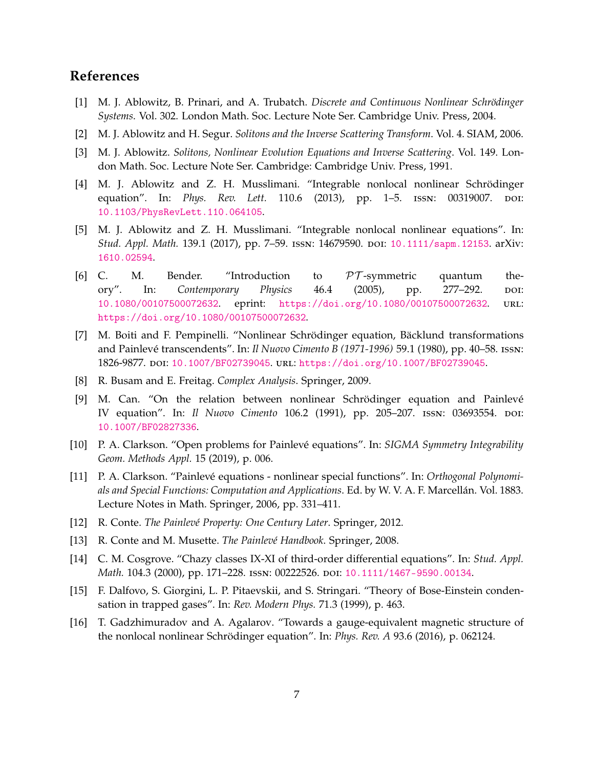# <span id="page-6-2"></span>**References**

- [1] M. J. Ablowitz, B. Prinari, and A. Trubatch. *Discrete and Continuous Nonlinear Schrödinger Systems*. Vol. 302. London Math. Soc. Lecture Note Ser. Cambridge Univ. Press, 2004.
- <span id="page-6-1"></span><span id="page-6-0"></span>[2] M. J. Ablowitz and H. Segur. *Solitons and the Inverse Scattering Transform*. Vol. 4. SIAM, 2006.
- [3] M. J. Ablowitz. *Solitons, Nonlinear Evolution Equations and Inverse Scattering*. Vol. 149. London Math. Soc. Lecture Note Ser. Cambridge: Cambridge Univ. Press, 1991.
- <span id="page-6-4"></span>[4] M. J. Ablowitz and Z. H. Musslimani. "Integrable nonlocal nonlinear Schrödinger equation". In: *Phys. Rev. Lett.* 110.6 (2013), pp. 1–5. ISSN: 00319007. DOI: [10.1103/PhysRevLett.110.064105](https://doi.org/10.1103/PhysRevLett.110.064105).
- <span id="page-6-5"></span>[5] M. J. Ablowitz and Z. H. Musslimani. "Integrable nonlocal nonlinear equations". In: *Stud. Appl. Math.* 139.1 (2017), pp. 7–59. issn: 14679590. doi: [10.1111/sapm.12153](https://doi.org/10.1111/sapm.12153). arXiv: [1610.02594](https://arxiv.org/abs/1610.02594).
- <span id="page-6-6"></span>[6] C. M. Bender. "Introduction to  $\mathcal{PT}$ -symmetric quantum the-<br>ory". In: Contemporary Physics 46.4 (2005), pp. 277–292. por: Contemporary Physics 46.4 (2005), pp. 277–292. poi: [10.1080/00107500072632](https://doi.org/10.1080/00107500072632). eprint: <https://doi.org/10.1080/00107500072632>. url: <https://doi.org/10.1080/00107500072632>.
- <span id="page-6-12"></span>[7] M. Boiti and F. Pempinelli. "Nonlinear Schrödinger equation, Bäcklund transformations and Painlevé transcendents". In: *Il Nuovo Cimento B (1971-1996)* 59.1 (1980), pp. 40–58. issn: 1826-9877. doi: [10.1007/BF02739045](https://doi.org/10.1007/BF02739045). url: <https://doi.org/10.1007/BF02739045>.
- <span id="page-6-14"></span><span id="page-6-13"></span>[8] R. Busam and E. Freitag. *Complex Analysis*. Springer, 2009.
- [9] M. Can. "On the relation between nonlinear Schrödinger equation and Painlevé IV equation". In: *Il Nuovo Cimento* 106.2 (1991), pp. 205–207. issn: 03693554. doi: [10.1007/BF02827336](https://doi.org/10.1007/BF02827336).
- <span id="page-6-11"></span>[10] P. A. Clarkson. "Open problems for Painlevé equations". In: *SIGMA Symmetry Integrability Geom. Methods Appl.* 15 (2019), p. 006.
- <span id="page-6-8"></span>[11] P. A. Clarkson. "Painlevé equations - nonlinear special functions". In: *Orthogonal Polynomials and Special Functions: Computation and Applications*. Ed. by W. V. A. F. Marcellán. Vol. 1883. Lecture Notes in Math. Springer, 2006, pp. 331–411.
- <span id="page-6-10"></span><span id="page-6-9"></span>[12] R. Conte. *The Painlevé Property: One Century Later*. Springer, 2012.
- <span id="page-6-15"></span>[13] R. Conte and M. Musette. *The Painlevé Handbook*. Springer, 2008.
- [14] C. M. Cosgrove. "Chazy classes IX-XI of third-order differential equations". In: *Stud. Appl. Math.* 104.3 (2000), pp. 171-228. ISSN: 00222526. DOI: [10.1111/1467-9590.00134](https://doi.org/10.1111/1467-9590.00134).
- <span id="page-6-3"></span>[15] F. Dalfovo, S. Giorgini, L. P. Pitaevskii, and S. Stringari. "Theory of Bose-Einstein condensation in trapped gases". In: *Rev. Modern Phys.* 71.3 (1999), p. 463.
- <span id="page-6-7"></span>[16] T. Gadzhimuradov and A. Agalarov. "Towards a gauge-equivalent magnetic structure of the nonlocal nonlinear Schrödinger equation". In: *Phys. Rev. A* 93.6 (2016), p. 062124.